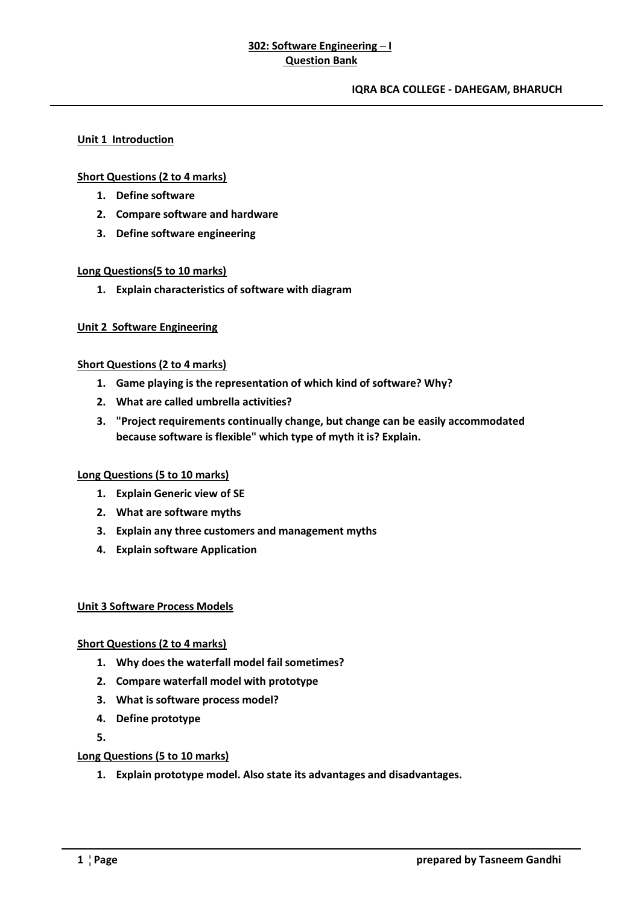# **302: Software Engineering – I Question Bank**

#### **IQRA BCA COLLEGE - DAHEGAM, BHARUCH**

### **Unit 1 Introduction**

### **Short Questions (2 to 4 marks)**

- **1. Define software**
- **2. Compare software and hardware**
- **3. Define software engineering**

### **Long Questions(5 to 10 marks)**

**1. Explain characteristics of software with diagram**

### **Unit 2 Software Engineering**

### **Short Questions (2 to 4 marks)**

- **1. Game playing is the representation of which kind of software? Why?**
- **2. What are called umbrella activities?**
- **3. "Project requirements continually change, but change can be easily accommodated because software is flexible" which type of myth it is? Explain.**

### **Long Questions (5 to 10 marks)**

- **1. Explain Generic view of SE**
- **2. What are software myths**
- **3. Explain any three customers and management myths**
- **4. Explain software Application**

### **Unit 3 Software Process Models**

### **Short Questions (2 to 4 marks)**

- **1. Why does the waterfall model fail sometimes?**
- **2. Compare waterfall model with prototype**
- **3. What is software process model?**
- **4. Define prototype**
- **5.**

### **Long Questions (5 to 10 marks)**

**1. Explain prototype model. Also state its advantages and disadvantages.**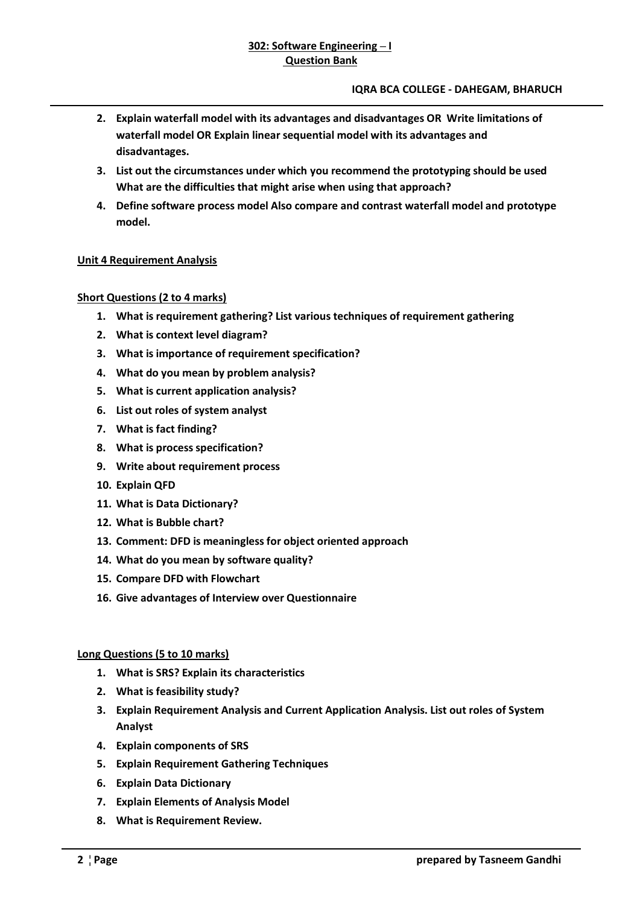- **2. Explain waterfall model with its advantages and disadvantages OR Write limitations of waterfall model OR Explain linear sequential model with its advantages and disadvantages.**
- **3. List out the circumstances under which you recommend the prototyping should be used What are the difficulties that might arise when using that approach?**
- **4. Define software process model Also compare and contrast waterfall model and prototype model.**

# **Unit 4 Requirement Analysis**

# **Short Questions (2 to 4 marks)**

- **1. What is requirement gathering? List various techniques of requirement gathering**
- **2. What is context level diagram?**
- **3. What is importance of requirement specification?**
- **4. What do you mean by problem analysis?**
- **5. What is current application analysis?**
- **6. List out roles of system analyst**
- **7. What is fact finding?**
- **8. What is process specification?**
- **9. Write about requirement process**
- **10. Explain QFD**
- **11. What is Data Dictionary?**
- **12. What is Bubble chart?**
- **13. Comment: DFD is meaningless for object oriented approach**
- **14. What do you mean by software quality?**
- **15. Compare DFD with Flowchart**
- **16. Give advantages of Interview over Questionnaire**

# **Long Questions (5 to 10 marks)**

- **1. What is SRS? Explain its characteristics**
- **2. What is feasibility study?**
- **3. Explain Requirement Analysis and Current Application Analysis. List out roles of System Analyst**
- **4. Explain components of SRS**
- **5. Explain Requirement Gathering Techniques**
- **6. Explain Data Dictionary**
- **7. Explain Elements of Analysis Model**
- **8. What is Requirement Review.**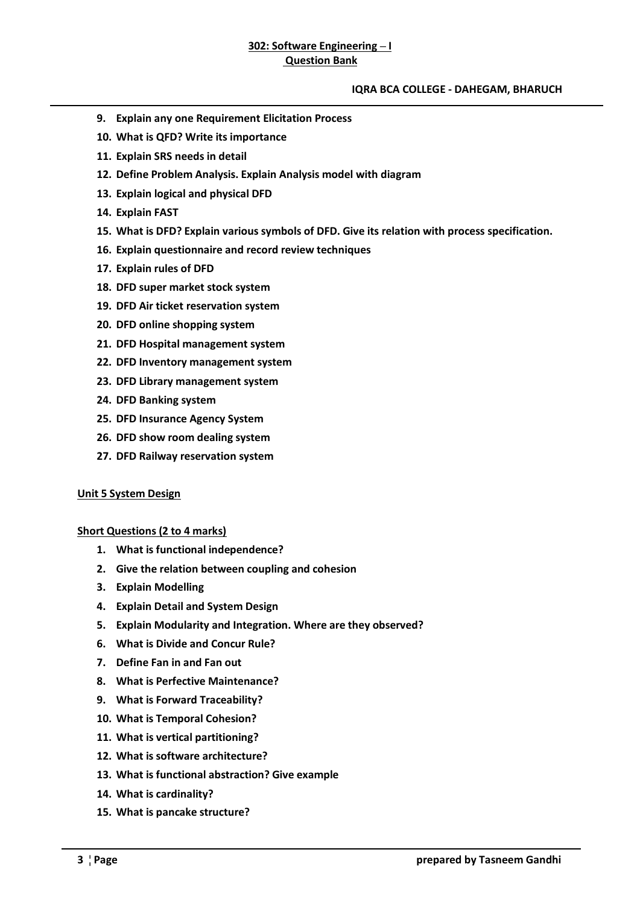### **IQRA BCA COLLEGE - DAHEGAM, BHARUCH**

- **9. Explain any one Requirement Elicitation Process**
- **10. What is QFD? Write its importance**
- **11. Explain SRS needs in detail**
- **12. Define Problem Analysis. Explain Analysis model with diagram**
- **13. Explain logical and physical DFD**
- **14. Explain FAST**
- **15. What is DFD? Explain various symbols of DFD. Give its relation with process specification.**
- **16. Explain questionnaire and record review techniques**
- **17. Explain rules of DFD**
- **18. DFD super market stock system**
- **19. DFD Air ticket reservation system**
- **20. DFD online shopping system**
- **21. DFD Hospital management system**
- **22. DFD Inventory management system**
- **23. DFD Library management system**
- **24. DFD Banking system**
- **25. DFD Insurance Agency System**
- **26. DFD show room dealing system**
- **27. DFD Railway reservation system**

### **Unit 5 System Design**

**Short Questions (2 to 4 marks)** 

- **1. What is functional independence?**
- **2. Give the relation between coupling and cohesion**
- **3. Explain Modelling**
- **4. Explain Detail and System Design**
- **5. Explain Modularity and Integration. Where are they observed?**
- **6. What is Divide and Concur Rule?**
- **7. Define Fan in and Fan out**
- **8. What is Perfective Maintenance?**
- **9. What is Forward Traceability?**
- **10. What is Temporal Cohesion?**
- **11. What is vertical partitioning?**
- **12. What is software architecture?**
- **13. What is functional abstraction? Give example**
- **14. What is cardinality?**
- **15. What is pancake structure?**